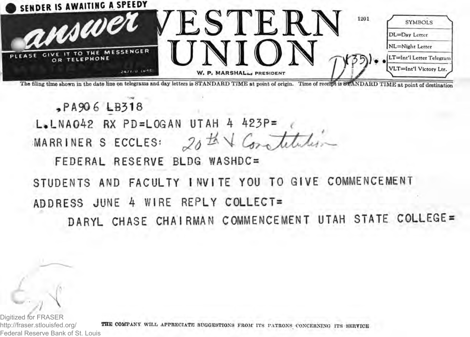

The filing time shown in the date line on telegrama and day letters is STANDARD TIME at point of origin. Time of receipt is STANDARD TIME at point of destination

,PA9Q6 LB318  $L$ . LNA042 RX PD=LOGAN UTAH 4 423P= MARRINER S ECCLES: 2<sup>5</sup> FEDERAL RESERVE BLDG WASHDC= STUDENTS AND FACULTY INVITE YOU TO GIVE COMMENCEMENT ADDRESS JUNE 4 WIRE REPLY C0LLECT=

DARYL CHASE CHAIRMAN COMMENCEMENT UTAH STATE COLLEGE

Digitized for FRASER http://fraser.stlouisfed.org/ Federal Reserve Bank of St. Louis

 $\ddot{\phantom{1}}$ 

**THE COMPANY** WILL APPRECIATE SUGGESTIONS FROM' ITS PATRONS CONCERNING ITS SERVICE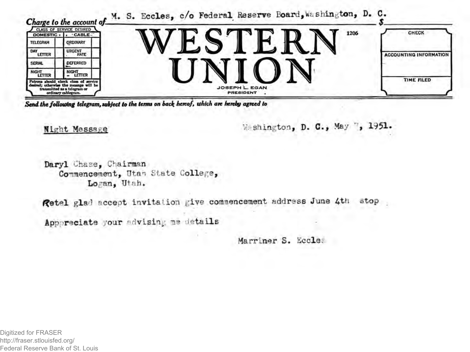

*Send the following telegram, subject to the terms on back hereof, which are hereby agreed to*

**Night Message • Washington, D. C., May 7, 1951.** 

**Daryl Chase, Chairman** Commencement, Utan State College, **Logan, Utah.**

*f***@etel glad accept invitation give commencement address June 4th stop** 

**Appreciate your advising me.details**

**Marriner S. Eccles**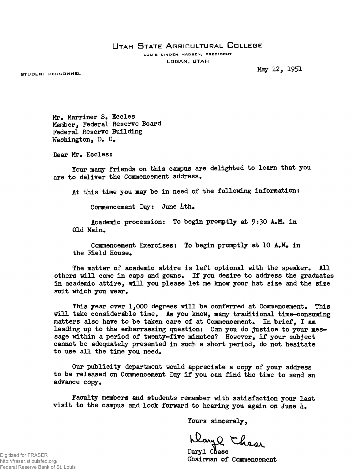## UTAH STATE AGRICULTURAL COLLEGE

LOUIS LINDEN MADSEN, PRESIDENT **L O G A N , UTAH**

STUDENT PERSONNEL

**May 12, 1951**

**Mr, Marriner S. Eccles Member, Federal Reserve Board Federal Reserve Building Washington, D. C.**

**Dear Mr. Eccles:**

**Tour many friends on this campus are delighted to learn that you are to deliver the Commencement address.**

**At this time you may be in need of the following information:**

**Commencement Day: June Uth.**

**Academic procession: To begin promptly at 9:30 A.M. in Old Main.**

**Commencement Exercises: To begin promptly at 10 A.M. in the field House.**

**The matter of academic attire is left optional with the speaker. All others will come in eaps and gowns. If you desire to address the graduates** in academic attire, will you please let me know your hat size and the size **suit which you wear.**

**This year over 1,000 degrees will be conferred at Commencement. This will take considerable time. As you know, many traditional time-consuming matters also have to be taken care of at Commencement. In brief, I am leading up to the embarrassing question: Can you do justice to your message within a period of twenty-five minutes? However, if your subject cannot be adequately presented in such a short period, do not hesitate to use all the time you need.**

**Our publicity department would appreciate a copy of your address to be released on Commencement Dsgr if you can find the time to send an advance copy.**

**Faculty members and students remember with satisfaction your last** visit to the campus and look forward to hearing you again on June  $\mu_{\bullet}$ 

**lours sincerely,**

Days Chase

Daryl Chase **Chairman of Commencement**

Digitized for FRASER http://fraser.stlouisfed.org/ Federal Reserve Bank of St. Louis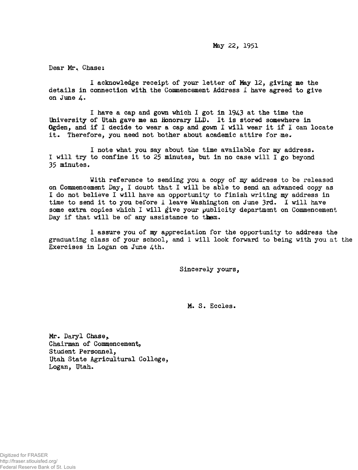**Hay 22, 1951**

**Dear Mr. Chases**

**I acknowledge receipt of your letter of May 12, giving me the details in connection with the Commencement Address I have agreed to give on June 4.**

**I have a cap and gown which I got in 1943 at the time the University of Utah gave me an Honorary LLD. It is stored somewhere in Ogden, and if I decide to wear a cap and gown I will wear it if I can locate it. Therefore, you need not bother about academic attire for me.**

**I note what you say about the time available for my address. I will try to confine it to 25 minutes, but in no case will I go beyond 35 minutes.**

**With reference to sending you a copy of my address to be released on Commencement Day, I doubt that I will be able to send an advanced copy as I do not believe I will have an opportunity to finish writing my address in time to send it to you before I leave Washington on June 3rd. I will have some extra copies which I will give your publicity department on Commencement Day if that will be of any assistance to them.**

**I assure you of ny appreciation for the opportunity to address the graduating class of your school, and 1 will look forward to being with you at the** Exercises in Logan on June 4th.

**Sincerely yours,**

**M. S. Eccles.**

Mr. Daryl Chase, **Chairman of Commencement, Student Personnel, Utah State Agricultural College, Logan, Utah.**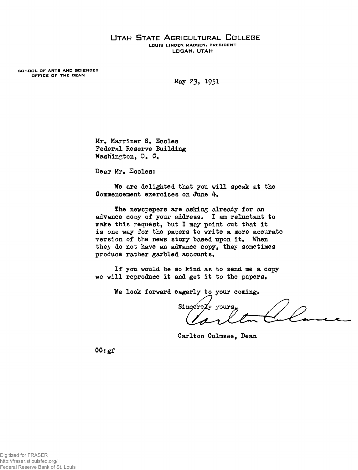## UTAH STATE AGRICULTURAL COLLEGE LOUIS LINDEN MADSEN, PRESIDENT **LOGAN. UTAH**

SCHOOL OF ARTS AND SCIENCES OFFICE OF THE DEAN

**May 23, I95I**

**Mr. Marriner S. Eccles Federal Reserve Building Washington, D. C.**

**Dear Mr. Eccles:**

**We are delighted that you will speak at the Commencement exercises on June**

**The newspapers are asking already for an advance copy of your address, I am reluctant to make this request, 'but I may point out that it is one way for the papers to write a more accurate** version of the news story based upon it. When **they do not have an advance copy, they sometimes produce rather garbled accounts.**

**If you would he so kind as to send me a copy we will reproduce it and get it to the papers.**

**We look forward eagerly to your coming.**

Sincerezy yours

**Carlton Culmsee, Dean**

**CC:gf**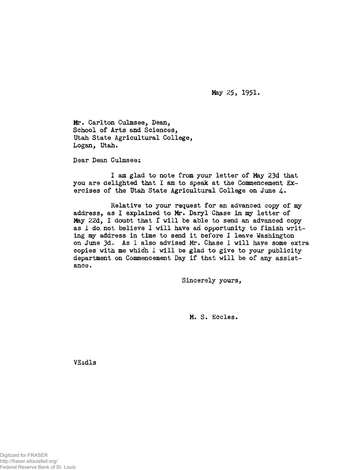**May 25, 1951.**

**Mr. Carlton Culmsee,. Dean, School of Arts and Sciences, Utah State Agricultural College, Logan, Utah.**

**Dear Dean Culmsee;**

**I am glad to note from your letter of May 23d that you are delighted that I am to speak at the Commencement Exercises of the Utah State Agricultural College on June 4.**

**Relative to your request for an advanced copy of my address, as I explained to Mr. Daryl Chase in my letter of May 22d, I doubt that I will be able to send an advanced copy as I do. not believe I will have an opportunity to finish writing ray address in time to send it before I leave Washington on June 3d. As 1 also advised Mr. Chase 1 will have some extra copies with me which I will be glad to give to your publicity department on Commencement Day if that will be of any assistance.**

**Sincerely yours,**

**M. S. Eccles.**

**VEsdls**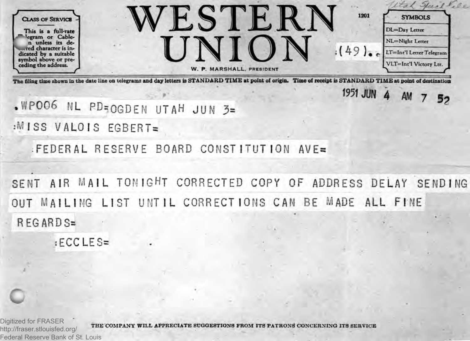

The filing time shown in the date line on telegrams and day letters is STANDARD TIME at point of origin. Time of receipt is STANDARD TIME at point of destination

**1951 JUN 4 AM 7 52** 

**.WP006 ML PD:OGDEN UTAH JUN 3=**

:MISS VALOIS EGBERT=

FEDERAL RESERVE BOARD CONSTITUTION AVE=

SENT AIR MAIL TONIGHT CORRECTED COPY OF ADDRESS DELAY SENDING OUT MAILING LIST UNTIL CORRECTIONS CAN BE MADE ALL FINE R EG ARD S=

! ECC LE S=

Digitized for FRASER http://fraser.stlouisfed.org/ Federal Reserve Bank of St. Louis

THE COMPANY WILL APPRECIATE SUGGESTIONS FROM ITS PATRONS CONCERNING ITS SERVICE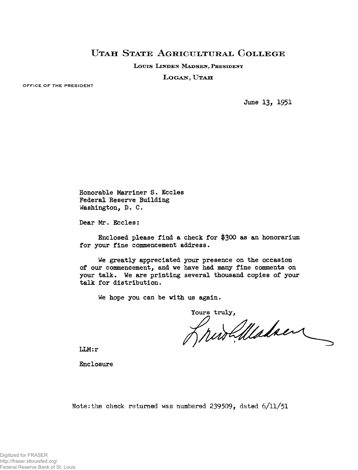## **UTAH STATE AGRICULTURAL COLLEGE**

LOUIS LINDEN MADSEN, PRESIDENT

LOGAN, UTAH

**OFFICE OF THE PRESIDENT**

**June 13, I95I**

**Honorable Marriner S. Eccles Federal Reserve Building Washington, D. C.**

**Dear Mr. Eccles:**

**Enclosed please find a check for \$300 as an honorarium for your fine commencement address.**

**We greatly appreciated your presence on the occasion of our commencement, and we have had many fine comments on your talk. We are printing several thousand copies of your talk for distribution.**

**We hope you can be with us again.**

Yours truly,<br>*MUS Maladaen* 

**LLM:r**

**Enclosure**

**Note:the check returned was numbered 239509, dated 6/11/51**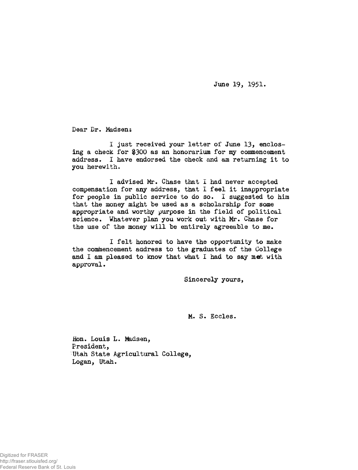**June 19, 1951.**

**Dear Dr. Madsen;**

**I just received, your letter ot\* June 13, enclosing a check for \$300 as an honorarium for my commencement address. I have endorsed the check and am returning it to you herewith.**

**I advised Mr. Chase that I had never accepted compensation for any address, that I feel it inappropriate for people in public service to do so. I suggested to him that the money might be used as a scholarship for some appropriate and worthy purpose in thé field of political science. Whatever plan you work out with Mr. Chase for the use of the money will be entirely agreeable to me.**

**I felt honored to have the opportunity to make the commencement address to the graduates of the College and I am pleased to know that what I had to say met with approval.**

**Sincerely yours,**

**M. S. Eccles.**

**Hon. Louis L. Madsen, President, Utah State Agricultural College, Logan, Utah.**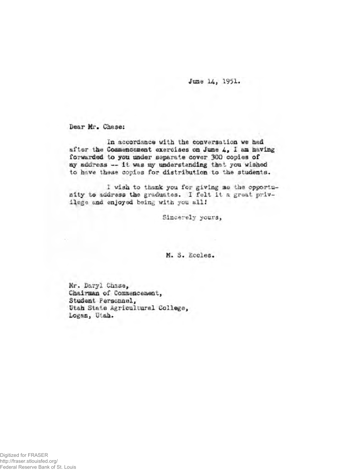June 14, 1951.

**Dear Mr. Chase:** 

In accordance with the conversation we had *&t*ter thè **Coatte®©«»©» t exercises oa Juae 4, I aia ft&vlxtg** forwarded to you under separate cover 300 copies of my address -- it was my understanding that you wished to have these copies for distribution to the students.

1 wish to thank you for giving me the opportunity to address the graduates. I felt it a great privilege and enjoyed being with you all!

**Siaeerely yours,**

M. S. *Kooles.* 

**Kr. S&ryi Càaise,.** Chairman of Commencement, Studeat Fereonael, Utah State Agricultural College, Logan, Utah.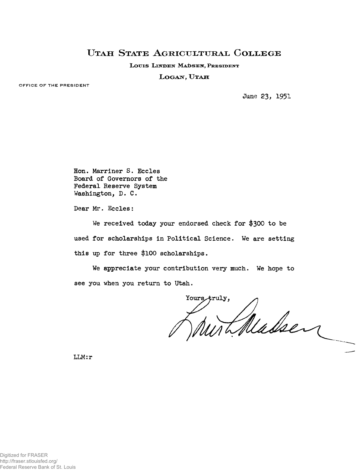## **UTAH STATE AGRIGULTURAL COLLEGE**

LOUIS LINDEN MADSEN, PRESIDENT

LOGAN, UTAH

**OFFICE OF THE PRESIDENT**

**June** *23,* 1951

**Hon. Marriner S. Eccles Board of Governors of the Federal Reserve System Washington, D. C.**

**Dear Mr. Eccles:**

**We received today your endorsed check for \$300 to be used for scholarships in Political Science. We are setting this up for three \$100 scholarships.**

**We appreciate your contribution very much. We hope to see you when you return to Utah.**

Yours, truly, Thedsen

**LLM:r**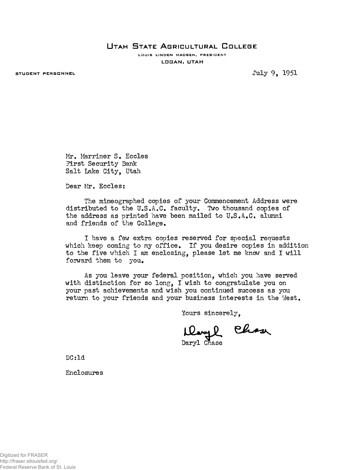**U t a h S t a t e A g r i c u l t u r a l C o l l e g e**

LOUIS LINDEN MADSEN, PRESIDENT **L O B A N** *f* **UTAH**

STUDENT PERSONNEL **STUDENT PERSONNEL** 

**Mr. Marriner S. Eccles First Security Bank Salt Lake City, Utah**

**Dear Mr. Eccles:**

**The mimeographed copies of your Commencement Address were distributed to the U.S.A.C. faculty. Two thousand copies of the address as printed have been mailed to U.S.A.C. alumni and friends of the College.**

**I have a** *feu* **extra copies reserved for special requests which keep coming to my office. If you desire copies in addition to the five which I am enclosing, please let me know and I will forward them to you.**

**As you leave your federal position, which you have served with distinction for so long, I wish to congratulate you on your past achievements and wish you continued success as you return to your friends and your business interests in the West.**

**Yours sincerely,**

**Ilary L Chase** 

**DC: Id**

**Enclosures**